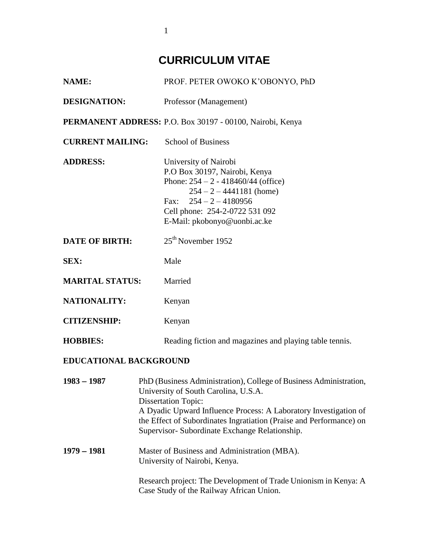# **CURRICULUM VITAE**

| <b>NAME:</b>            | PROF. PETER OWOKO K'OBONYO, PhD                                                                                                                                                                                             |
|-------------------------|-----------------------------------------------------------------------------------------------------------------------------------------------------------------------------------------------------------------------------|
| <b>DESIGNATION:</b>     | Professor (Management)                                                                                                                                                                                                      |
|                         | PERMANENT ADDRESS: P.O. Box 30197 - 00100, Nairobi, Kenya                                                                                                                                                                   |
| <b>CURRENT MAILING:</b> | <b>School of Business</b>                                                                                                                                                                                                   |
| <b>ADDRESS:</b>         | University of Nairobi<br>P.O Box 30197, Nairobi, Kenya<br>Phone: $254 - 2 - 418460/44$ (office)<br>$254 - 2 - 4441181$ (home)<br>Fax: $254 - 2 - 4180956$<br>Cell phone: 254-2-0722 531 092<br>E-Mail: pkobonyo@uonbi.ac.ke |
| <b>DATE OF BIRTH:</b>   | $25th$ November 1952                                                                                                                                                                                                        |
| <b>SEX:</b>             | Male                                                                                                                                                                                                                        |
| <b>MARITAL STATUS:</b>  | Married                                                                                                                                                                                                                     |
| <b>NATIONALITY:</b>     | Kenyan                                                                                                                                                                                                                      |
| <b>CITIZENSHIP:</b>     | Kenyan                                                                                                                                                                                                                      |
| <b>HOBBIES:</b>         | Reading fiction and magazines and playing table tennis.                                                                                                                                                                     |

# **EDUCATIONAL BACKGROUND**

| $1983 - 1987$ | PhD (Business Administration), College of Business Administration,<br>University of South Carolina, U.S.A.<br><b>Dissertation Topic:</b><br>A Dyadic Upward Influence Process: A Laboratory Investigation of |
|---------------|--------------------------------------------------------------------------------------------------------------------------------------------------------------------------------------------------------------|
|               | the Effect of Subordinates Ingratiation (Praise and Performance) on<br>Supervisor-Subordinate Exchange Relationship.                                                                                         |
| $1979 - 1981$ | Master of Business and Administration (MBA).<br>University of Nairobi, Kenya.                                                                                                                                |
|               | Research project: The Development of Trade Unionism in Kenya: A<br>Case Study of the Railway African Union.                                                                                                  |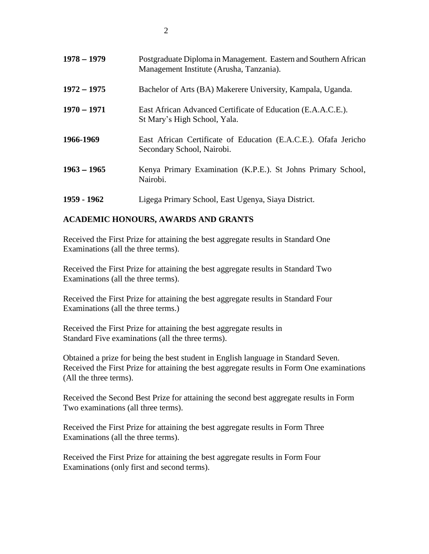| $1978 - 1979$ | Postgraduate Diploma in Management. Eastern and Southern African<br>Management Institute (Arusha, Tanzania). |
|---------------|--------------------------------------------------------------------------------------------------------------|
| $1972 - 1975$ | Bachelor of Arts (BA) Makerere University, Kampala, Uganda.                                                  |
| $1970 - 1971$ | East African Advanced Certificate of Education (E.A.A.C.E.).<br>St Mary's High School, Yala.                 |
| 1966-1969     | East African Certificate of Education (E.A.C.E.). Ofafa Jericho<br>Secondary School, Nairobi.                |
| $1963 - 1965$ | Kenya Primary Examination (K.P.E.). St Johns Primary School,<br>Nairobi.                                     |
| 1959 - 1962   | Ligega Primary School, East Ugenya, Siaya District.                                                          |

# **ACADEMIC HONOURS, AWARDS AND GRANTS**

Received the First Prize for attaining the best aggregate results in Standard One Examinations (all the three terms).

Received the First Prize for attaining the best aggregate results in Standard Two Examinations (all the three terms).

Received the First Prize for attaining the best aggregate results in Standard Four Examinations (all the three terms.)

Received the First Prize for attaining the best aggregate results in Standard Five examinations (all the three terms).

Obtained a prize for being the best student in English language in Standard Seven. Received the First Prize for attaining the best aggregate results in Form One examinations (All the three terms).

Received the Second Best Prize for attaining the second best aggregate results in Form Two examinations (all three terms).

Received the First Prize for attaining the best aggregate results in Form Three Examinations (all the three terms).

Received the First Prize for attaining the best aggregate results in Form Four Examinations (only first and second terms).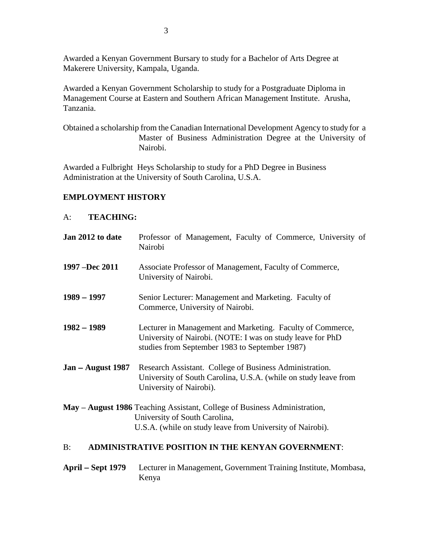Awarded a Kenyan Government Bursary to study for a Bachelor of Arts Degree at Makerere University, Kampala, Uganda.

Awarded a Kenyan Government Scholarship to study for a Postgraduate Diploma in Management Course at Eastern and Southern African Management Institute. Arusha, Tanzania.

Obtained a scholarship from the Canadian International Development Agency to study for a Master of Business Administration Degree at the University of Nairobi.

Awarded a Fulbright Heys Scholarship to study for a PhD Degree in Business Administration at the University of South Carolina, U.S.A.

## **EMPLOYMENT HISTORY**

#### A: **TEACHING:**

| Jan 2012 to date    | Professor of Management, Faculty of Commerce, University of<br>Nairobi                                                                                                     |
|---------------------|----------------------------------------------------------------------------------------------------------------------------------------------------------------------------|
| 1997 –Dec 2011      | Associate Professor of Management, Faculty of Commerce,<br>University of Nairobi.                                                                                          |
| $1989 - 1997$       | Senior Lecturer: Management and Marketing. Faculty of<br>Commerce, University of Nairobi.                                                                                  |
| $1982 - 1989$       | Lecturer in Management and Marketing. Faculty of Commerce,<br>University of Nairobi. (NOTE: I was on study leave for PhD<br>studies from September 1983 to September 1987) |
| $Jan - August 1987$ | Research Assistant. College of Business Administration.<br>University of South Carolina, U.S.A. (while on study leave from<br>University of Nairobi).                      |
|                     | May – August 1986 Teaching Assistant, College of Business Administration,<br>University of South Carolina,<br>U.S.A. (while on study leave from University of Nairobi).    |

### B: **ADMINISTRATIVE POSITION IN THE KENYAN GOVERNMENT**:

# **April Sept 1979** Lecturer in Management, Government Training Institute, Mombasa, Kenya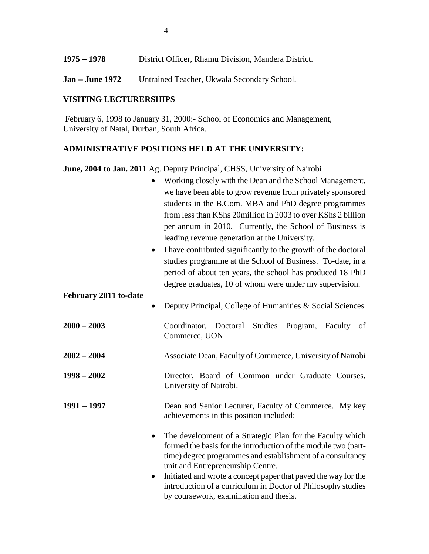- **1975 1978** District Officer, Rhamu Division, Mandera District.
- Jan June 1972 Untrained Teacher, Ukwala Secondary School.

# **VISITING LECTURERSHIPS**

February 6, 1998 to January 31, 2000:- School of Economics and Management, University of Natal, Durban, South Africa.

# **ADMINISTRATIVE POSITIONS HELD AT THE UNIVERSITY:**

**June, 2004 to Jan. 2011** Ag. Deputy Principal, CHSS, University of Nairobi

|                       | Working closely with the Dean and the School Management,<br>we have been able to grow revenue from privately sponsored<br>students in the B.Com. MBA and PhD degree programmes<br>from less than KShs 20 million in 2003 to over KShs 2 billion<br>per annum in 2010. Currently, the School of Business is<br>leading revenue generation at the University. |
|-----------------------|-------------------------------------------------------------------------------------------------------------------------------------------------------------------------------------------------------------------------------------------------------------------------------------------------------------------------------------------------------------|
| $\bullet$             | I have contributed significantly to the growth of the doctoral<br>studies programme at the School of Business. To-date, in a<br>period of about ten years, the school has produced 18 PhD<br>degree graduates, 10 of whom were under my supervision.                                                                                                        |
| February 2011 to-date |                                                                                                                                                                                                                                                                                                                                                             |
| $\bullet$             | Deputy Principal, College of Humanities & Social Sciences                                                                                                                                                                                                                                                                                                   |
| $2000 - 2003$         | <b>Studies</b><br>Coordinator, Doctoral<br>Program,<br>Faculty<br>of<br>Commerce, UON                                                                                                                                                                                                                                                                       |
| $2002 - 2004$         | Associate Dean, Faculty of Commerce, University of Nairobi                                                                                                                                                                                                                                                                                                  |
| $1998 - 2002$         | Director, Board of Common under Graduate Courses,<br>University of Nairobi.                                                                                                                                                                                                                                                                                 |
| $1991 - 1997$         | Dean and Senior Lecturer, Faculty of Commerce. My key<br>achievements in this position included:                                                                                                                                                                                                                                                            |
| $\bullet$             | The development of a Strategic Plan for the Faculty which<br>formed the basis for the introduction of the module two (part-<br>time) degree programmes and establishment of a consultancy<br>unit and Entrepreneurship Centre.                                                                                                                              |
| ٠                     | Initiated and wrote a concept paper that paved the way for the<br>introduction of a curriculum in Doctor of Philosophy studies<br>by coursework, examination and thesis.                                                                                                                                                                                    |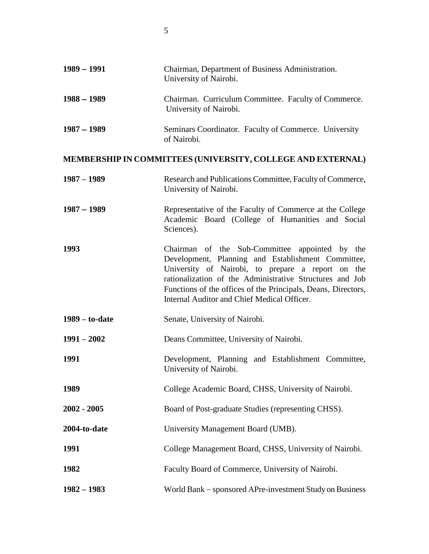| $1989 - 1991$    | Chairman, Department of Business Administration.<br>University of Nairobi.                                                                                                                                                                                                                                                            |
|------------------|---------------------------------------------------------------------------------------------------------------------------------------------------------------------------------------------------------------------------------------------------------------------------------------------------------------------------------------|
| $1988 - 1989$    | Chairman. Curriculum Committee. Faculty of Commerce.<br>University of Nairobi.                                                                                                                                                                                                                                                        |
| $1987 - 1989$    | Seminars Coordinator. Faculty of Commerce. University<br>of Nairobi.                                                                                                                                                                                                                                                                  |
|                  | MEMBERSHIP IN COMMITTEES (UNIVERSITY, COLLEGE AND EXTERNAL)                                                                                                                                                                                                                                                                           |
| $1987 - 1989$    | Research and Publications Committee, Faculty of Commerce,<br>University of Nairobi.                                                                                                                                                                                                                                                   |
| $1987 - 1989$    | Representative of the Faculty of Commerce at the College<br>Academic Board (College of Humanities and Social<br>Sciences).                                                                                                                                                                                                            |
| 1993             | Chairman of the Sub-Committee appointed by the<br>Development, Planning and Establishment Committee,<br>University of Nairobi, to prepare a report on the<br>rationalization of the Administrative Structures and Job<br>Functions of the offices of the Principals, Deans, Directors,<br>Internal Auditor and Chief Medical Officer. |
| $1989 -$ to-date | Senate, University of Nairobi.                                                                                                                                                                                                                                                                                                        |
| $1991 - 2002$    | Deans Committee, University of Nairobi.                                                                                                                                                                                                                                                                                               |
| 1991             | Development, Planning and Establishment Committee,<br>University of Nairobi.                                                                                                                                                                                                                                                          |
| 1989             | College Academic Board, CHSS, University of Nairobi.                                                                                                                                                                                                                                                                                  |
| 2002 - 2005      | Board of Post-graduate Studies (representing CHSS).                                                                                                                                                                                                                                                                                   |
| 2004-to-date     | University Management Board (UMB).                                                                                                                                                                                                                                                                                                    |
| 1991             | College Management Board, CHSS, University of Nairobi.                                                                                                                                                                                                                                                                                |
| 1982             | Faculty Board of Commerce, University of Nairobi.                                                                                                                                                                                                                                                                                     |
| $1982 - 1983$    | World Bank – sponsored APre-investment Study on Business                                                                                                                                                                                                                                                                              |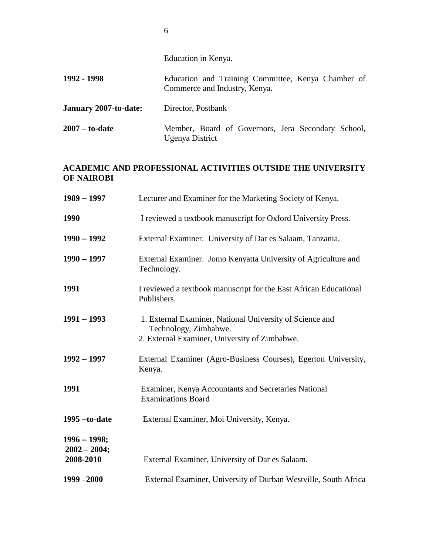Education in Kenya.

- **1992 - 1998** Education and Training Committee, Kenya Chamber of Commerce and Industry, Kenya.
- **January 2007-to-date:** Director, Postbank
- **2007 – to-date** Member, Board of Governors, Jera Secondary School, Ugenya District

# **ACADEMIC AND PROFESSIONAL ACTIVITIES OUTSIDE THE UNIVERSITY OF NAIROBI**

| $1989 - 1997$                                 | Lecturer and Examiner for the Marketing Society of Kenya.                                                                          |
|-----------------------------------------------|------------------------------------------------------------------------------------------------------------------------------------|
| 1990                                          | I reviewed a textbook manuscript for Oxford University Press.                                                                      |
| $1990 - 1992$                                 | External Examiner. University of Dar es Salaam, Tanzania.                                                                          |
| $1990 - 1997$                                 | External Examiner. Jomo Kenyatta University of Agriculture and<br>Technology.                                                      |
| 1991                                          | I reviewed a textbook manuscript for the East African Educational<br>Publishers.                                                   |
| $1991 - 1993$                                 | 1. External Examiner, National University of Science and<br>Technology, Zimbabwe.<br>2. External Examiner, University of Zimbabwe. |
| $1992 - 1997$                                 | External Examiner (Agro-Business Courses), Egerton University,<br>Kenya.                                                           |
| 1991                                          | Examiner, Kenya Accountants and Secretaries National<br><b>Examinations Board</b>                                                  |
| $1995 -$ to-date                              | External Examiner, Moi University, Kenya.                                                                                          |
| $1996 - 1998;$<br>$2002 - 2004;$<br>2008-2010 | External Examiner, University of Dar es Salaam.                                                                                    |
| $1999 - 2000$                                 | External Examiner, University of Durban Westville, South Africa                                                                    |

6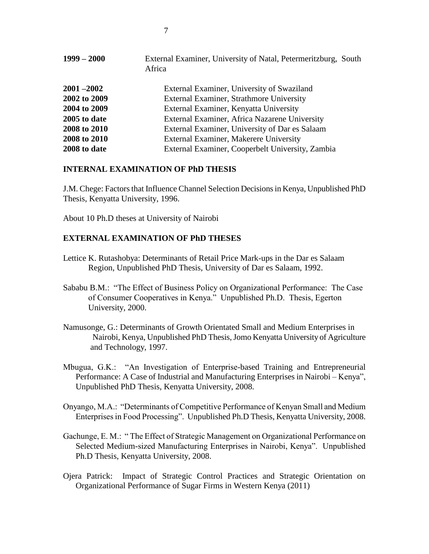| $1999 - 2000$ | External Examiner, University of Natal, Petermeritzburg, South<br>Africa |
|---------------|--------------------------------------------------------------------------|
| $2001 - 2002$ | External Examiner, University of Swaziland                               |
| 2002 to 2009  | External Examiner, Strathmore University                                 |
| 2004 to 2009  | External Examiner, Kenyatta University                                   |
| 2005 to date  | External Examiner, Africa Nazarene University                            |
| 2008 to 2010  | External Examiner, University of Dar es Salaam                           |
| 2008 to 2010  | External Examiner, Makerere University                                   |
| 2008 to date  | External Examiner, Cooperbelt University, Zambia                         |

#### **INTERNAL EXAMINATION OF PhD THESIS**

J.M. Chege: Factors that Influence Channel Selection Decisions in Kenya, Unpublished PhD Thesis, Kenyatta University, 1996.

About 10 Ph.D theses at University of Nairobi

#### **EXTERNAL EXAMINATION OF PhD THESES**

- Lettice K. Rutashobya: Determinants of Retail Price Mark-ups in the Dar es Salaam Region, Unpublished PhD Thesis, University of Dar es Salaam, 1992.
- Sababu B.M.: "The Effect of Business Policy on Organizational Performance: The Case of Consumer Cooperatives in Kenya." Unpublished Ph.D. Thesis, Egerton University, 2000.
- Namusonge, G.: Determinants of Growth Orientated Small and Medium Enterprises in Nairobi, Kenya, Unpublished PhD Thesis, Jomo Kenyatta University of Agriculture and Technology, 1997.
- Mbugua, G.K.: "An Investigation of Enterprise-based Training and Entrepreneurial Performance: A Case of Industrial and Manufacturing Enterprises in Nairobi – Kenya", Unpublished PhD Thesis, Kenyatta University, 2008.
- Onyango, M.A.: "Determinants of Competitive Performance of Kenyan Small and Medium Enterprises in Food Processing". Unpublished Ph.D Thesis, Kenyatta University, 2008.
- Gachunge, E. M.: " The Effect of Strategic Management on Organizational Performance on Selected Medium-sized Manufacturing Enterprises in Nairobi, Kenya". Unpublished Ph.D Thesis, Kenyatta University, 2008.
- Ojera Patrick: Impact of Strategic Control Practices and Strategic Orientation on Organizational Performance of Sugar Firms in Western Kenya (2011)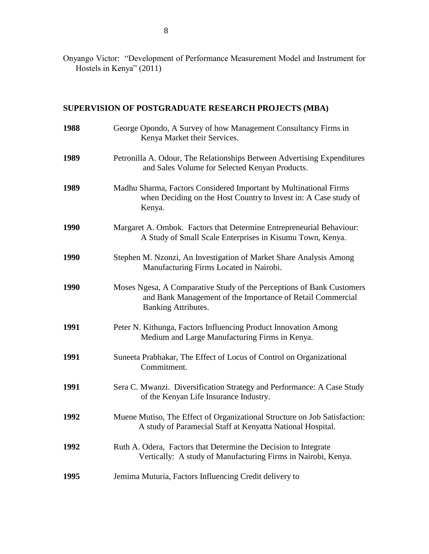Onyango Victor: "Development of Performance Measurement Model and Instrument for Hostels in Kenya" (2011)

# **SUPERVISION OF POSTGRADUATE RESEARCH PROJECTS (MBA)**

| 1988 | George Opondo, A Survey of how Management Consultancy Firms in<br>Kenya Market their Services.                                                             |
|------|------------------------------------------------------------------------------------------------------------------------------------------------------------|
| 1989 | Petronilla A. Odour, The Relationships Between Advertising Expenditures<br>and Sales Volume for Selected Kenyan Products.                                  |
| 1989 | Madhu Sharma, Factors Considered Important by Multinational Firms<br>when Deciding on the Host Country to Invest in: A Case study of<br>Kenya.             |
| 1990 | Margaret A. Ombok. Factors that Determine Entrepreneurial Behaviour:<br>A Study of Small Scale Enterprises in Kisumu Town, Kenya.                          |
| 1990 | Stephen M. Nzonzi, An Investigation of Market Share Analysis Among<br>Manufacturing Firms Located in Nairobi.                                              |
| 1990 | Moses Ngesa, A Comparative Study of the Perceptions of Bank Customers<br>and Bank Management of the Importance of Retail Commercial<br>Banking Attributes. |
| 1991 | Peter N. Kithunga, Factors Influencing Product Innovation Among<br>Medium and Large Manufacturing Firms in Kenya.                                          |
| 1991 | Suneeta Prabhakar, The Effect of Locus of Control on Organizational<br>Commitment.                                                                         |
| 1991 | Sera C. Mwanzi. Diversification Strategy and Performance: A Case Study<br>of the Kenyan Life Insurance Industry.                                           |
| 1992 | Muene Mutiso, The Effect of Organizational Structure on Job Satisfaction:<br>A study of Paramecial Staff at Kenyatta National Hospital.                    |
| 1992 | Ruth A. Odera, Factors that Determine the Decision to Integrate<br>Vertically: A study of Manufacturing Firms in Nairobi, Kenya.                           |
| 1995 | Jemima Muturia, Factors Influencing Credit delivery to                                                                                                     |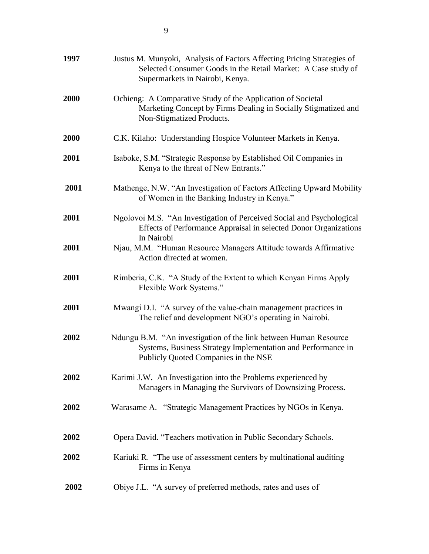| 1997 | Justus M. Munyoki, Analysis of Factors Affecting Pricing Strategies of<br>Selected Consumer Goods in the Retail Market: A Case study of<br>Supermarkets in Nairobi, Kenya. |
|------|----------------------------------------------------------------------------------------------------------------------------------------------------------------------------|
| 2000 | Ochieng: A Comparative Study of the Application of Societal<br>Marketing Concept by Firms Dealing in Socially Stigmatized and<br>Non-Stigmatized Products.                 |
| 2000 | C.K. Kilaho: Understanding Hospice Volunteer Markets in Kenya.                                                                                                             |
| 2001 | Isaboke, S.M. "Strategic Response by Established Oil Companies in<br>Kenya to the threat of New Entrants."                                                                 |
| 2001 | Mathenge, N.W. "An Investigation of Factors Affecting Upward Mobility<br>of Women in the Banking Industry in Kenya."                                                       |
| 2001 | Ngolovoi M.S. "An Investigation of Perceived Social and Psychological<br>Effects of Performance Appraisal in selected Donor Organizations<br>In Nairobi                    |
| 2001 | Njau, M.M. "Human Resource Managers Attitude towards Affirmative<br>Action directed at women.                                                                              |
| 2001 | Rimberia, C.K. "A Study of the Extent to which Kenyan Firms Apply<br>Flexible Work Systems."                                                                               |
| 2001 | Mwangi D.I. "A survey of the value-chain management practices in<br>The relief and development NGO's operating in Nairobi.                                                 |
| 2002 | Ndungu B.M. "An investigation of the link between Human Resource<br>Systems, Business Strategy Implementation and Performance in<br>Publicly Quoted Companies in the NSE   |
| 2002 | Karimi J.W. An Investigation into the Problems experienced by<br>Managers in Managing the Survivors of Downsizing Process.                                                 |
| 2002 | Warasame A. "Strategic Management Practices by NGOs in Kenya.                                                                                                              |
| 2002 | Opera David. "Teachers motivation in Public Secondary Schools.                                                                                                             |
| 2002 | Kariuki R. "The use of assessment centers by multinational auditing<br>Firms in Kenya                                                                                      |
| 2002 | Obiye J.L. "A survey of preferred methods, rates and uses of                                                                                                               |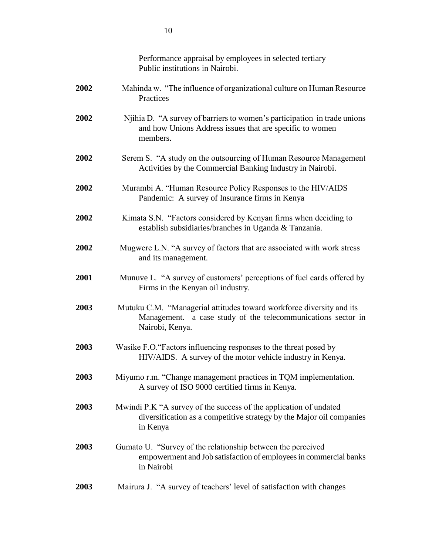|      | Performance appraisal by employees in selected tertiary<br>Public institutions in Nairobi.                                                              |
|------|---------------------------------------------------------------------------------------------------------------------------------------------------------|
| 2002 | Mahinda w. "The influence of organizational culture on Human Resource<br>Practices                                                                      |
| 2002 | Njihia D. "A survey of barriers to women's participation in trade unions<br>and how Unions Address issues that are specific to women<br>members.        |
| 2002 | Serem S. "A study on the outsourcing of Human Resource Management<br>Activities by the Commercial Banking Industry in Nairobi.                          |
| 2002 | Murambi A. "Human Resource Policy Responses to the HIV/AIDS<br>Pandemic: A survey of Insurance firms in Kenya                                           |
| 2002 | Kimata S.N. "Factors considered by Kenyan firms when deciding to<br>establish subsidiaries/branches in Uganda & Tanzania.                               |
| 2002 | Mugwere L.N. "A survey of factors that are associated with work stress<br>and its management.                                                           |
| 2001 | Munuve L. "A survey of customers' perceptions of fuel cards offered by<br>Firms in the Kenyan oil industry.                                             |
| 2003 | Mutuku C.M. "Managerial attitudes toward workforce diversity and its<br>Management. a case study of the telecommunications sector in<br>Nairobi, Kenya. |
| 2003 | Wasike F.O. "Factors influencing responses to the threat posed by<br>HIV/AIDS. A survey of the motor vehicle industry in Kenya.                         |
| 2003 | Miyumo r.m. "Change management practices in TQM implementation.<br>A survey of ISO 9000 certified firms in Kenya.                                       |
| 2003 | Mwindi P.K "A survey of the success of the application of undated<br>diversification as a competitive strategy by the Major oil companies<br>in Kenya   |
| 2003 | Gumato U. "Survey of the relationship between the perceived<br>empowerment and Job satisfaction of employees in commercial banks<br>in Nairobi          |
| 2003 | Mairura J. "A survey of teachers' level of satisfaction with changes                                                                                    |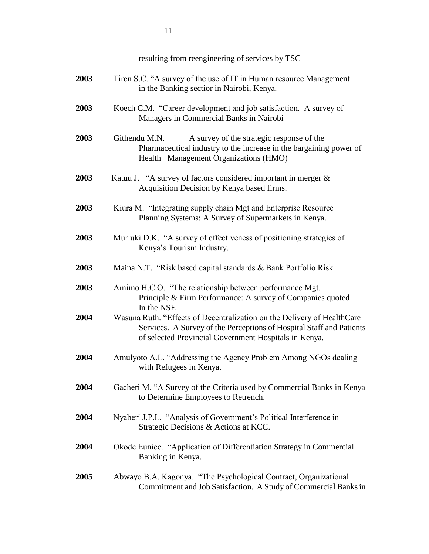|      | resulting from reengineering of services by TSC                                                                                                                                                          |
|------|----------------------------------------------------------------------------------------------------------------------------------------------------------------------------------------------------------|
| 2003 | Tiren S.C. "A survey of the use of IT in Human resource Management<br>in the Banking sectior in Nairobi, Kenya.                                                                                          |
| 2003 | Koech C.M. "Career development and job satisfaction. A survey of<br>Managers in Commercial Banks in Nairobi                                                                                              |
| 2003 | Githendu M.N.<br>A survey of the strategic response of the<br>Pharmaceutical industry to the increase in the bargaining power of<br>Health Management Organizations (HMO)                                |
| 2003 | Katuu J. "A survey of factors considered important in merger &<br>Acquisition Decision by Kenya based firms.                                                                                             |
| 2003 | Kiura M. "Integrating supply chain Mgt and Enterprise Resource<br>Planning Systems: A Survey of Supermarkets in Kenya.                                                                                   |
| 2003 | Muriuki D.K. "A survey of effectiveness of positioning strategies of<br>Kenya's Tourism Industry.                                                                                                        |
| 2003 | Maina N.T. "Risk based capital standards & Bank Portfolio Risk                                                                                                                                           |
| 2003 | Amimo H.C.O. "The relationship between performance Mgt.<br>Principle & Firm Performance: A survey of Companies quoted<br>In the NSE                                                                      |
| 2004 | Wasuna Ruth. "Effects of Decentralization on the Delivery of HealthCare<br>Services. A Survey of the Perceptions of Hospital Staff and Patients<br>of selected Provincial Government Hospitals in Kenya. |
| 2004 | Amulyoto A.L. "Addressing the Agency Problem Among NGOs dealing<br>with Refugees in Kenya.                                                                                                               |
| 2004 | Gacheri M. "A Survey of the Criteria used by Commercial Banks in Kenya<br>to Determine Employees to Retrench.                                                                                            |
| 2004 | Nyaberi J.P.L. "Analysis of Government's Political Interference in<br>Strategic Decisions & Actions at KCC.                                                                                              |
| 2004 | Okode Eunice. "Application of Differentiation Strategy in Commercial<br>Banking in Kenya.                                                                                                                |
| 2005 | Abwayo B.A. Kagonya. "The Psychological Contract, Organizational<br>Commitment and Job Satisfaction. A Study of Commercial Banks in                                                                      |

11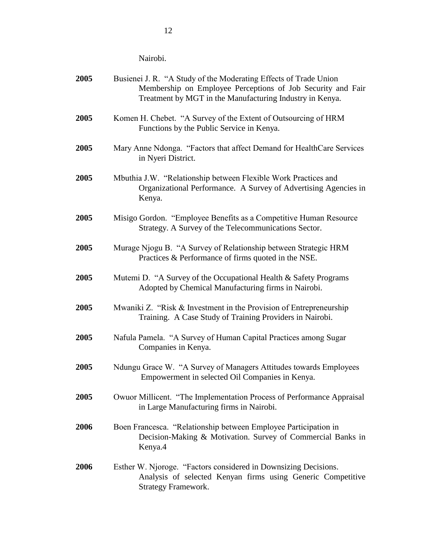Nairobi.

| 2005 | Busienei J. R. "A Study of the Moderating Effects of Trade Union<br>Membership on Employee Perceptions of Job Security and Fair<br>Treatment by MGT in the Manufacturing Industry in Kenya. |
|------|---------------------------------------------------------------------------------------------------------------------------------------------------------------------------------------------|
| 2005 | Komen H. Chebet. "A Survey of the Extent of Outsourcing of HRM<br>Functions by the Public Service in Kenya.                                                                                 |
| 2005 | Mary Anne Ndonga. "Factors that affect Demand for HealthCare Services<br>in Nyeri District.                                                                                                 |
| 2005 | Mbuthia J.W. "Relationship between Flexible Work Practices and<br>Organizational Performance. A Survey of Advertising Agencies in<br>Kenya.                                                 |
| 2005 | Misigo Gordon. "Employee Benefits as a Competitive Human Resource<br>Strategy. A Survey of the Telecommunications Sector.                                                                   |
| 2005 | Murage Njogu B. "A Survey of Relationship between Strategic HRM<br>Practices & Performance of firms quoted in the NSE.                                                                      |
| 2005 | Mutemi D. "A Survey of the Occupational Health & Safety Programs<br>Adopted by Chemical Manufacturing firms in Nairobi.                                                                     |
| 2005 | Mwaniki Z. "Risk & Investment in the Provision of Entrepreneurship<br>Training. A Case Study of Training Providers in Nairobi.                                                              |
| 2005 | Nafula Pamela. "A Survey of Human Capital Practices among Sugar<br>Companies in Kenya.                                                                                                      |
| 2005 | Ndungu Grace W. "A Survey of Managers Attitudes towards Employees<br>Empowerment in selected Oil Companies in Kenya.                                                                        |
| 2005 | Owuor Millicent. "The Implementation Process of Performance Appraisal<br>in Large Manufacturing firms in Nairobi.                                                                           |
| 2006 | Boen Francesca. "Relationship between Employee Participation in<br>Decision-Making & Motivation. Survey of Commercial Banks in<br>Kenya.4                                                   |
| 2006 | Esther W. Njoroge. "Factors considered in Downsizing Decisions.<br>Analysis of selected Kenyan firms using Generic Competitive<br><b>Strategy Framework.</b>                                |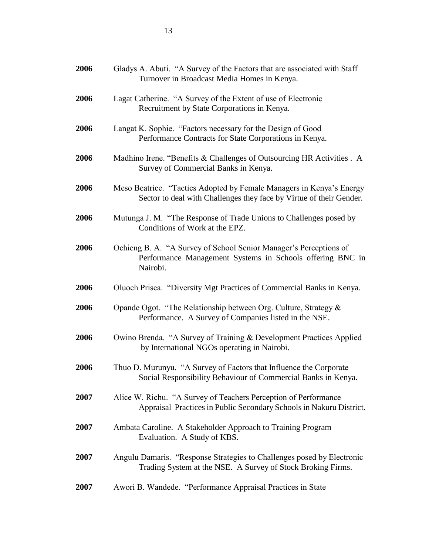| 2006 | Gladys A. Abuti. "A Survey of the Factors that are associated with Staff<br>Turnover in Broadcast Media Homes in Kenya.                     |
|------|---------------------------------------------------------------------------------------------------------------------------------------------|
| 2006 | Lagat Catherine. "A Survey of the Extent of use of Electronic<br>Recruitment by State Corporations in Kenya.                                |
| 2006 | Langat K. Sophie. "Factors necessary for the Design of Good<br>Performance Contracts for State Corporations in Kenya.                       |
| 2006 | Madhino Irene. "Benefits & Challenges of Outsourcing HR Activities . A<br>Survey of Commercial Banks in Kenya.                              |
| 2006 | Meso Beatrice. "Tactics Adopted by Female Managers in Kenya's Energy<br>Sector to deal with Challenges they face by Virtue of their Gender. |
| 2006 | Mutunga J. M. "The Response of Trade Unions to Challenges posed by<br>Conditions of Work at the EPZ.                                        |
| 2006 | Ochieng B. A. "A Survey of School Senior Manager's Perceptions of<br>Performance Management Systems in Schools offering BNC in<br>Nairobi.  |
| 2006 | Oluoch Prisca. "Diversity Mgt Practices of Commercial Banks in Kenya.                                                                       |
| 2006 | Opande Ogot. "The Relationship between Org. Culture, Strategy &<br>Performance. A Survey of Companies listed in the NSE.                    |
| 2006 | Owino Brenda. "A Survey of Training & Development Practices Applied<br>by International NGOs operating in Nairobi.                          |
| 2006 | Thuo D. Murunyu. "A Survey of Factors that Influence the Corporate<br>Social Responsibility Behaviour of Commercial Banks in Kenya.         |
| 2007 | Alice W. Richu. "A Survey of Teachers Perception of Performance<br>Appraisal Practices in Public Secondary Schools in Nakuru District.      |
| 2007 | Ambata Caroline. A Stakeholder Approach to Training Program<br>Evaluation. A Study of KBS.                                                  |
| 2007 | Angulu Damaris. "Response Strategies to Challenges posed by Electronic<br>Trading System at the NSE. A Survey of Stock Broking Firms.       |
| 2007 | Awori B. Wandede. "Performance Appraisal Practices in State                                                                                 |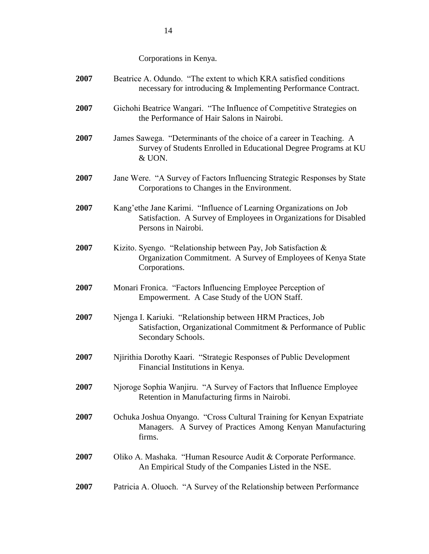Corporations in Kenya.

| 2007 | Beatrice A. Odundo. "The extent to which KRA satisfied conditions<br>necessary for introducing & Implementing Performance Contract.                            |
|------|----------------------------------------------------------------------------------------------------------------------------------------------------------------|
| 2007 | Gichohi Beatrice Wangari. "The Influence of Competitive Strategies on<br>the Performance of Hair Salons in Nairobi.                                            |
| 2007 | James Sawega. "Determinants of the choice of a career in Teaching. A<br>Survey of Students Enrolled in Educational Degree Programs at KU<br>& UON.             |
| 2007 | Jane Were. "A Survey of Factors Influencing Strategic Responses by State<br>Corporations to Changes in the Environment.                                        |
| 2007 | Kang'ethe Jane Karimi. "Influence of Learning Organizations on Job<br>Satisfaction. A Survey of Employees in Organizations for Disabled<br>Persons in Nairobi. |
| 2007 | Kizito. Syengo. "Relationship between Pay, Job Satisfaction &<br>Organization Commitment. A Survey of Employees of Kenya State<br>Corporations.                |
| 2007 | Monari Fronica. "Factors Influencing Employee Perception of<br>Empowerment. A Case Study of the UON Staff.                                                     |
| 2007 | Njenga I. Kariuki. "Relationship between HRM Practices, Job<br>Satisfaction, Organizational Commitment & Performance of Public<br>Secondary Schools.           |
| 2007 | Njirithia Dorothy Kaari. "Strategic Responses of Public Development<br>Financial Institutions in Kenya.                                                        |
| 2007 | Njoroge Sophia Wanjiru. "A Survey of Factors that Influence Employee<br>Retention in Manufacturing firms in Nairobi.                                           |
| 2007 | Ochuka Joshua Onyango. "Cross Cultural Training for Kenyan Expatriate<br>Managers. A Survey of Practices Among Kenyan Manufacturing<br>firms.                  |
| 2007 | Oliko A. Mashaka. "Human Resource Audit & Corporate Performance.<br>An Empirical Study of the Companies Listed in the NSE.                                     |
| 2007 | Patricia A. Oluoch. "A Survey of the Relationship between Performance                                                                                          |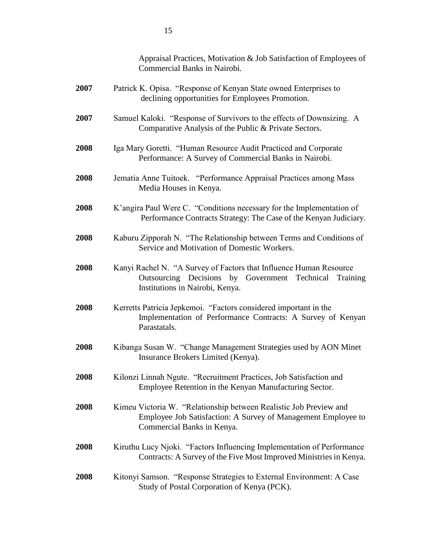|      | Appraisal Practices, Motivation & Job Satisfaction of Employees of<br>Commercial Banks in Nairobi.                                                                 |
|------|--------------------------------------------------------------------------------------------------------------------------------------------------------------------|
| 2007 | Patrick K. Opisa. "Response of Kenyan State owned Enterprises to<br>declining opportunities for Employees Promotion.                                               |
| 2007 | Samuel Kaloki. "Response of Survivors to the effects of Downsizing. A<br>Comparative Analysis of the Public & Private Sectors.                                     |
| 2008 | Iga Mary Goretti. "Human Resource Audit Practiced and Corporate<br>Performance: A Survey of Commercial Banks in Nairobi.                                           |
| 2008 | Jematia Anne Tuitoek. "Performance Appraisal Practices among Mass<br>Media Houses in Kenya.                                                                        |
| 2008 | K'angira Paul Were C. "Conditions necessary for the Implementation of<br>Performance Contracts Strategy: The Case of the Kenyan Judiciary.                         |
| 2008 | Kaburu Zipporah N. "The Relationship between Terms and Conditions of<br>Service and Motivation of Domestic Workers.                                                |
| 2008 | Kanyi Rachel N. "A Survey of Factors that Influence Human Resource<br>Outsourcing Decisions by Government Technical<br>Training<br>Institutions in Nairobi, Kenya. |
| 2008 | Kerretts Patricia Jepkemoi. "Factors considered important in the<br>Implementation of Performance Contracts: A Survey of Kenyan<br>Parastatals.                    |
| 2008 | Kibanga Susan W. "Change Management Strategies used by AON Minet<br>Insurance Brokers Limited (Kenya).                                                             |
| 2008 | Kilonzi Linnah Ngute. "Recruitment Practices, Job Satisfaction and<br>Employee Retention in the Kenyan Manufacturing Sector.                                       |
| 2008 | Kimeu Victoria W. "Relationship between Realistic Job Preview and<br>Employee Job Satisfaction: A Survey of Management Employee to<br>Commercial Banks in Kenya.   |
| 2008 | Kiruthu Lucy Njoki. "Factors Influencing Implementation of Performance<br>Contracts: A Survey of the Five Most Improved Ministries in Kenya.                       |
| 2008 | Kitonyi Samson. "Response Strategies to External Environment: A Case<br>Study of Postal Corporation of Kenya (PCK).                                                |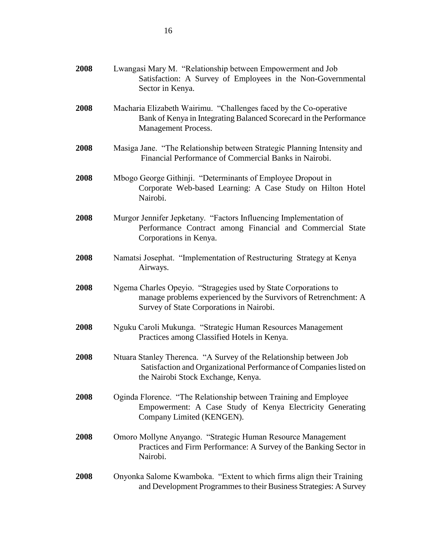| 2008 | Lwangasi Mary M. "Relationship between Empowerment and Job<br>Satisfaction: A Survey of Employees in the Non-Governmental<br>Sector in Kenya.                                  |
|------|--------------------------------------------------------------------------------------------------------------------------------------------------------------------------------|
| 2008 | Macharia Elizabeth Wairimu. "Challenges faced by the Co-operative<br>Bank of Kenya in Integrating Balanced Scorecard in the Performance<br><b>Management Process.</b>          |
| 2008 | Masiga Jane. "The Relationship between Strategic Planning Intensity and<br>Financial Performance of Commercial Banks in Nairobi.                                               |
| 2008 | Mbogo George Githinji. "Determinants of Employee Dropout in<br>Corporate Web-based Learning: A Case Study on Hilton Hotel<br>Nairobi.                                          |
| 2008 | Murgor Jennifer Jepketany. "Factors Influencing Implementation of<br>Performance Contract among Financial and Commercial State<br>Corporations in Kenya.                       |
| 2008 | Namatsi Josephat. "Implementation of Restructuring Strategy at Kenya<br>Airways.                                                                                               |
| 2008 | Ngema Charles Opeyio. "Stragegies used by State Corporations to<br>manage problems experienced by the Survivors of Retrenchment: A<br>Survey of State Corporations in Nairobi. |
| 2008 | Nguku Caroli Mukunga. "Strategic Human Resources Management<br>Practices among Classified Hotels in Kenya.                                                                     |
| 2008 | Ntuara Stanley Therenca. "A Survey of the Relationship between Job<br>Satisfaction and Organizational Performance of Companies listed on<br>the Nairobi Stock Exchange, Kenya. |
| 2008 | Oginda Florence. "The Relationship between Training and Employee<br>Empowerment: A Case Study of Kenya Electricity Generating<br>Company Limited (KENGEN).                     |
| 2008 | Omoro Mollyne Anyango. "Strategic Human Resource Management<br>Practices and Firm Performance: A Survey of the Banking Sector in<br>Nairobi.                                   |
| 2008 | Onyonka Salome Kwamboka. "Extent to which firms align their Training<br>and Development Programmes to their Business Strategies: A Survey                                      |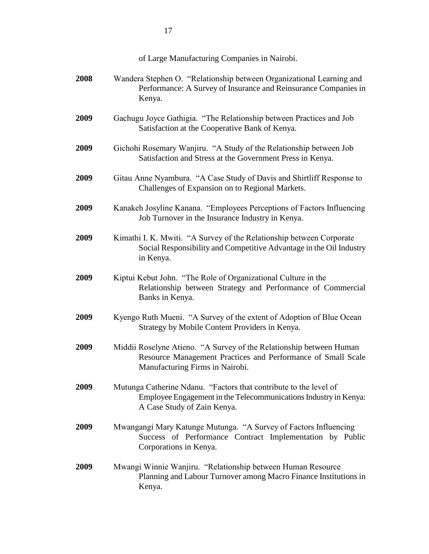of Large Manufacturing Companies in Nairobi.

| 2008 | Wandera Stephen O. "Relationship between Organizational Learning and<br>Performance: A Survey of Insurance and Reinsurance Companies in<br>Kenya.                      |
|------|------------------------------------------------------------------------------------------------------------------------------------------------------------------------|
| 2009 | Gachugu Joyce Gathigia. "The Relationship between Practices and Job<br>Satisfaction at the Cooperative Bank of Kenya.                                                  |
| 2009 | Gichohi Rosemary Wanjiru. "A Study of the Relationship between Job<br>Satisfaction and Stress at the Government Press in Kenya.                                        |
| 2009 | Gitau Anne Nyambura. "A Case Study of Davis and Shirtliff Response to<br>Challenges of Expansion on to Regional Markets.                                               |
| 2009 | Kanakeh Josyline Kanana. "Employees Perceptions of Factors Influencing<br>Job Turnover in the Insurance Industry in Kenya.                                             |
| 2009 | Kimathi I. K. Mwiti. "A Survey of the Relationship between Corporate<br>Social Responsibility and Competitive Advantage in the Oil Industry<br>in Kenya.               |
| 2009 | Kiptui Kebut John. "The Role of Organizational Culture in the<br>Relationship between Strategy and Performance of Commercial<br>Banks in Kenya.                        |
| 2009 | Kyengo Ruth Mueni. "A Survey of the extent of Adoption of Blue Ocean<br>Strategy by Mobile Content Providers in Kenya.                                                 |
| 2009 | Middii Roselyne Atieno. "A Survey of the Relationship between Human<br>Resource Management Practices and Performance of Small Scale<br>Manufacturing Firms in Nairobi. |
| 2009 | Mutunga Catherine Ndanu. "Factors that contribute to the level of<br>Employee Engagement in the Telecommunications Industry in Kenya:<br>A Case Study of Zain Kenya.   |
| 2009 | Mwangangi Mary Katunge Mutunga. "A Survey of Factors Influencing<br>Success of Performance Contract Implementation by Public<br>Corporations in Kenya.                 |
| 2009 | Mwangi Winnie Wanjiru. "Relationship between Human Resource<br>Planning and Labour Turnover among Macro Finance Institutions in<br>Kenya.                              |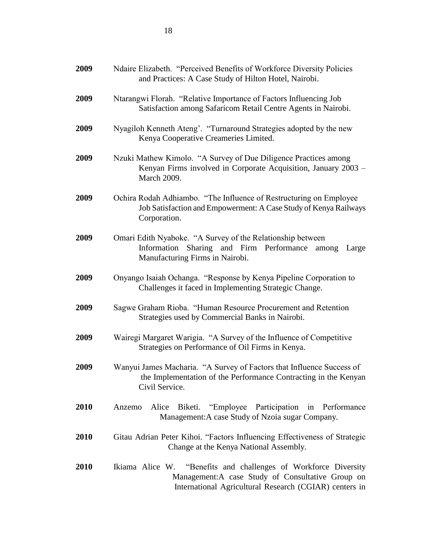| 2009        | Ndaire Elizabeth. "Perceived Benefits of Workforce Diversity Policies<br>and Practices: A Case Study of Hilton Hotel, Nairobi.                                                    |  |  |
|-------------|-----------------------------------------------------------------------------------------------------------------------------------------------------------------------------------|--|--|
| 2009        | Ntarangwi Florah. "Relative Importance of Factors Influencing Job<br>Satisfaction among Safaricom Retail Centre Agents in Nairobi.                                                |  |  |
| 2009        | Nyagiloh Kenneth Ateng'. "Turnaround Strategies adopted by the new<br>Kenya Cooperative Creameries Limited.                                                                       |  |  |
| 2009        | Nzuki Mathew Kimolo. "A Survey of Due Diligence Practices among<br>Kenyan Firms involved in Corporate Acquisition, January 2003 -<br>March 2009.                                  |  |  |
| 2009        | Ochira Rodah Adhiambo. "The Influence of Restructuring on Employee<br>Job Satisfaction and Empowerment: A Case Study of Kenya Railways<br>Corporation.                            |  |  |
| 2009        | Omari Edith Nyaboke. "A Survey of the Relationship between<br>Sharing and Firm Performance<br>Information<br>among<br>Large<br>Manufacturing Firms in Nairobi.                    |  |  |
| 2009        | Onyango Isaiah Ochanga. "Response by Kenya Pipeline Corporation to<br>Challenges it faced in Implementing Strategic Change.                                                       |  |  |
| 2009        | Sagwe Graham Rioba. "Human Resource Procurement and Retention<br>Strategies used by Commercial Banks in Nairobi.                                                                  |  |  |
| 2009        | Wairegi Margaret Warigia. "A Survey of the Influence of Competitive<br>Strategies on Performance of Oil Firms in Kenya.                                                           |  |  |
| 2009        | Wanyui James Macharia. "A Survey of Factors that Influence Success of<br>the Implementation of the Performance Contracting in the Kenyan<br>Civil Service.                        |  |  |
| <b>2010</b> | Biketi. "Employee Participation in Performance<br>Alice<br>Anzemo<br>Management: A case Study of Nzoia sugar Company.                                                             |  |  |
| 2010        | Gitau Adrian Peter Kihoi. "Factors Influencing Effectiveness of Strategic<br>Change at the Kenya National Assembly.                                                               |  |  |
| 2010        | Ikiama Alice W.<br>"Benefits and challenges of Workforce Diversity<br>Management: A case Study of Consultative Group on<br>International Agricultural Research (CGIAR) centers in |  |  |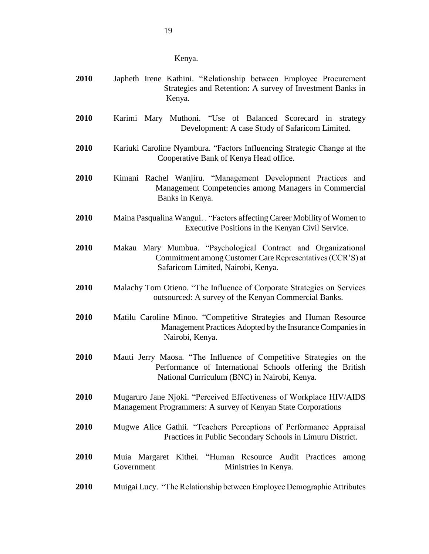| Kenya. |
|--------|
|        |

| 2010 | Japheth Irene Kathini. "Relationship between Employee Procurement<br>Strategies and Retention: A survey of Investment Banks in<br>Kenya.                                        |
|------|---------------------------------------------------------------------------------------------------------------------------------------------------------------------------------|
| 2010 | Karimi Mary Muthoni. "Use of Balanced Scorecard in strategy<br>Development: A case Study of Safaricom Limited.                                                                  |
| 2010 | Kariuki Caroline Nyambura. "Factors Influencing Strategic Change at the<br>Cooperative Bank of Kenya Head office.                                                               |
| 2010 | Kimani Rachel Wanjiru. "Management Development Practices and<br>Management Competencies among Managers in Commercial<br>Banks in Kenya.                                         |
| 2010 | Maina Pasqualina Wangui. . "Factors affecting Career Mobility of Women to<br>Executive Positions in the Kenyan Civil Service.                                                   |
| 2010 | Makau Mary Mumbua. "Psychological Contract and Organizational<br>Commitment among Customer Care Representatives (CCR'S) at<br>Safaricom Limited, Nairobi, Kenya.                |
| 2010 | Malachy Tom Otieno. "The Influence of Corporate Strategies on Services<br>outsourced: A survey of the Kenyan Commercial Banks.                                                  |
| 2010 | Matilu Caroline Minoo. "Competitive Strategies and Human Resource<br>Management Practices Adopted by the Insurance Companies in<br>Nairobi, Kenya.                              |
| 2010 | Mauti Jerry Maosa. "The Influence of Competitive Strategies on the<br>Performance of International Schools offering the British<br>National Curriculum (BNC) in Nairobi, Kenya. |
| 2010 | Mugaruro Jane Njoki. "Perceived Effectiveness of Workplace HIV/AIDS<br>Management Programmers: A survey of Kenyan State Corporations                                            |
| 2010 | Mugwe Alice Gathii. "Teachers Perceptions of Performance Appraisal<br>Practices in Public Secondary Schools in Limuru District.                                                 |
| 2010 | Muia Margaret Kithei. "Human Resource Audit Practices among<br>Ministries in Kenya.<br>Government                                                                               |
| 2010 | Muigai Lucy. "The Relationship between Employee Demographic Attributes                                                                                                          |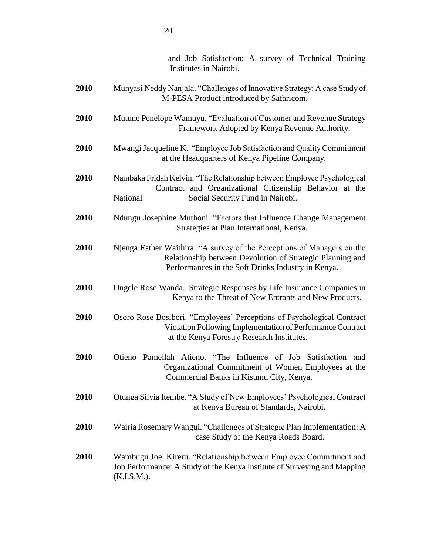|      | and Job Satisfaction: A survey of Technical Training<br>Institutes in Nairobi.                                                                                                             |
|------|--------------------------------------------------------------------------------------------------------------------------------------------------------------------------------------------|
| 2010 | Munyasi Neddy Nanjala. "Challenges of Innovative Strategy: A case Study of<br>M-PESA Product introduced by Safaricom.                                                                      |
| 2010 | Mutune Penelope Wamuyu. "Evaluation of Customer and Revenue Strategy<br>Framework Adopted by Kenya Revenue Authority.                                                                      |
| 2010 | Mwangi Jacqueline K. "Employee Job Satisfaction and Quality Commitment<br>at the Headquarters of Kenya Pipeline Company.                                                                   |
| 2010 | Nambaka Fridah Kelvin. "The Relationship between Employee Psychological<br>Contract and Organizational Citizenship Behavior at the<br>Social Security Fund in Nairobi.<br>National         |
| 2010 | Ndungu Josephine Muthoni. "Factors that Influence Change Management<br>Strategies at Plan International, Kenya.                                                                            |
| 2010 | Njenga Esther Waithira. "A survey of the Perceptions of Managers on the<br>Relationship between Devolution of Strategic Planning and<br>Performances in the Soft Drinks Industry in Kenya. |
| 2010 | Ongele Rose Wanda. Strategic Responses by Life Insurance Companies in<br>Kenya to the Threat of New Entrants and New Products.                                                             |
| 2010 | Osoro Rose Bosibori. "Employees' Perceptions of Psychological Contract<br>Violation Following Implementation of Performance Contract<br>at the Kenya Forestry Research Institutes.         |
| 2010 | Otieno Pamellah Atieno. "The Influence of Job Satisfaction and<br>Organizational Commitment of Women Employees at the<br>Commercial Banks in Kisumu City, Kenya.                           |
| 2010 | Otunga Silvia Itembe. "A Study of New Employees' Psychological Contract<br>at Kenya Bureau of Standards, Nairobi.                                                                          |
| 2010 | Wairia Rosemary Wangui. "Challenges of Strategic Plan Implementation: A<br>case Study of the Kenya Roads Board.                                                                            |
| 2010 | Wambugu Joel Kireru. "Relationship between Employee Commitment and<br>Job Performance: A Study of the Kenya Institute of Surveying and Mapping<br>$(K.I.S.M.)$ .                           |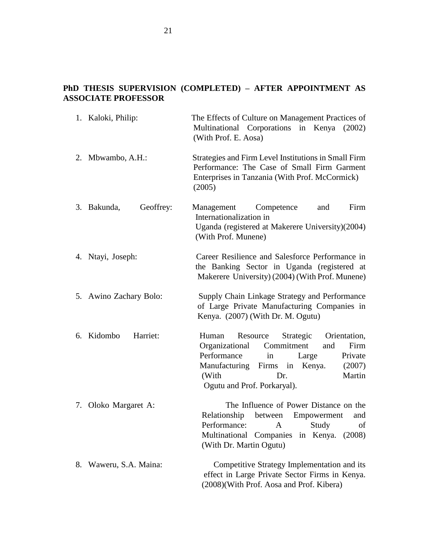# **PhD THESIS SUPERVISION (COMPLETED) – AFTER APPOINTMENT AS ASSOCIATE PROFESSOR**

|    | 1. Kaloki, Philip:       | The Effects of Culture on Management Practices of<br>Multinational Corporations in Kenya (2002)<br>(With Prof. E. Aosa)                                                                                                                       |
|----|--------------------------|-----------------------------------------------------------------------------------------------------------------------------------------------------------------------------------------------------------------------------------------------|
|    | 2. Mbwambo, A.H.:        | Strategies and Firm Level Institutions in Small Firm<br>Performance: The Case of Small Firm Garment<br>Enterprises in Tanzania (With Prof. McCormick)<br>(2005)                                                                               |
|    | Geoffrey:<br>3. Bakunda, | Competence<br>Firm<br>Management<br>and<br>Internationalization in<br>Uganda (registered at Makerere University)(2004)<br>(With Prof. Munene)                                                                                                 |
|    | 4. Ntayi, Joseph:        | Career Resilience and Salesforce Performance in<br>the Banking Sector in Uganda (registered at<br>Makerere University) (2004) (With Prof. Munene)                                                                                             |
|    | 5. Awino Zachary Bolo:   | Supply Chain Linkage Strategy and Performance<br>of Large Private Manufacturing Companies in<br>Kenya. (2007) (With Dr. M. Ogutu)                                                                                                             |
|    | 6. Kidombo<br>Harriet:   | Resource<br>Strategic<br>Orientation,<br>Human<br>Organizational<br>Commitment<br>Firm<br>and<br>Performance<br>Private<br>in<br>Large<br>Kenya.<br>Manufacturing Firms in<br>(2007)<br>Martin<br>(With<br>Dr.<br>Ogutu and Prof. Porkaryal). |
|    | 7. Oloko Margaret A:     | The Influence of Power Distance on the<br>Relationship<br>between Empowerment<br>and<br>Performance: A Study of<br>Multinational Companies in Kenya.<br>(2008)<br>(With Dr. Martin Ogutu)                                                     |
| 8. | Waweru, S.A. Maina:      | Competitive Strategy Implementation and its<br>effect in Large Private Sector Firms in Kenya.<br>(2008)(With Prof. Aosa and Prof. Kibera)                                                                                                     |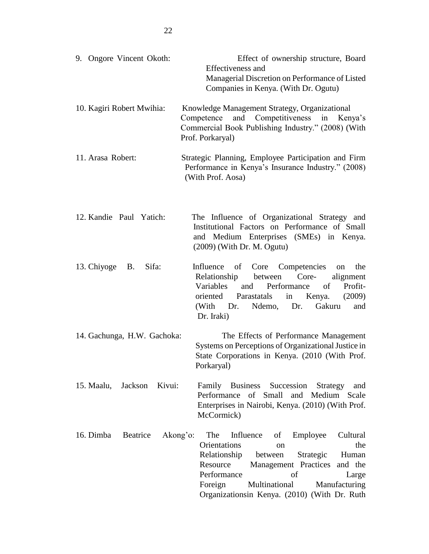| 9. Ongore Vincent Okoth:          | Effect of ownership structure, Board<br>Effectiveness and<br>Managerial Discretion on Performance of Listed<br>Companies in Kenya. (With Dr. Ogutu)                                                                                                                                                                        |
|-----------------------------------|----------------------------------------------------------------------------------------------------------------------------------------------------------------------------------------------------------------------------------------------------------------------------------------------------------------------------|
| 10. Kagiri Robert Mwihia:         | Knowledge Management Strategy, Organizational<br>and Competitiveness<br>Competence<br>in<br>Kenya's<br>Commercial Book Publishing Industry." (2008) (With<br>Prof. Porkaryal)                                                                                                                                              |
| 11. Arasa Robert:                 | Strategic Planning, Employee Participation and Firm<br>Performance in Kenya's Insurance Industry." (2008)<br>(With Prof. Aosa)                                                                                                                                                                                             |
| 12. Kandie Paul Yatich:           | The Influence of Organizational Strategy and<br>Institutional Factors on Performance of Small<br>and Medium Enterprises (SMEs) in Kenya.<br>$(2009)$ (With Dr. M. Ogutu)                                                                                                                                                   |
| 13. Chiyoge<br>Sifa:<br><b>B.</b> | Influence<br>of<br>Core Competencies<br>the<br>on<br>Relationship<br>between<br>Core-<br>alignment<br>Variables<br>and<br>Performance<br>of<br>Profit-<br>Parastatals<br>oriented<br>in<br>Kenya.<br>(2009)<br>(With Dr.<br>Ndemo,<br>Dr.<br>Gakuru<br>and<br>Dr. Iraki)                                                   |
| 14. Gachunga, H.W. Gachoka:       | The Effects of Performance Management<br>Systems on Perceptions of Organizational Justice in<br>State Corporations in Kenya. (2010 (With Prof.<br>Porkaryal)                                                                                                                                                               |
| Kivui:<br>15. Maalu, Jackson      | Family Business Succession<br>Strategy<br>and<br>Performance of Small and Medium Scale<br>Enterprises in Nairobi, Kenya. (2010) (With Prof.<br>McCormick)                                                                                                                                                                  |
| 16. Dimba<br>Beatrice             | Akong'o:<br>The<br>Cultural<br>Influence<br>Employee<br>of<br>Orientations<br>the<br><sub>on</sub><br>Relationship<br>Human<br>between<br>Strategic<br>Resource<br>Management Practices and the<br>Performance<br>of<br>Large<br>Foreign<br>Multinational<br>Manufacturing<br>Organizationsin Kenya. (2010) (With Dr. Ruth |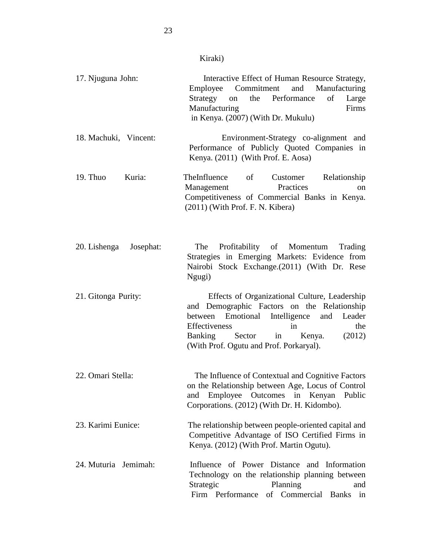| 17. Njuguna John:         | Interactive Effect of Human Resource Strategy,<br>Employee Commitment<br>and<br>Manufacturing<br>the Performance<br>of<br>Strategy<br>on<br>Large<br>Manufacturing<br>Firms<br>in Kenya. (2007) (With Dr. Mukulu)                                                        |
|---------------------------|--------------------------------------------------------------------------------------------------------------------------------------------------------------------------------------------------------------------------------------------------------------------------|
| 18. Machuki, Vincent:     | Environment-Strategy co-alignment and<br>Performance of Publicly Quoted Companies in<br>Kenya. (2011) (With Prof. E. Aosa)                                                                                                                                               |
| 19. Thuo<br>Kuria:        | TheInfluence<br>of<br>Relationship<br>Customer<br>Practices<br>Management<br><sub>on</sub><br>Competitiveness of Commercial Banks in Kenya.<br>$(2011)$ (With Prof. F. N. Kibera)                                                                                        |
| 20. Lishenga<br>Josephat: | Profitability of Momentum<br>Trading<br>The<br>Strategies in Emerging Markets: Evidence from<br>Nairobi Stock Exchange. (2011) (With Dr. Rese<br>Ngugi)                                                                                                                  |
| 21. Gitonga Purity:       | Effects of Organizational Culture, Leadership<br>and Demographic Factors on the Relationship<br>Emotional Intelligence and Leader<br>between<br>Effectiveness<br>the<br>in<br><b>Banking</b><br>Sector in<br>(2012)<br>Kenya.<br>(With Prof. Ogutu and Prof. Porkaryal). |
| 22. Omari Stella:         | The Influence of Contextual and Cognitive Factors<br>on the Relationship between Age, Locus of Control<br>Employee Outcomes in Kenyan Public<br>and<br>Corporations. (2012) (With Dr. H. Kidombo).                                                                       |
| 23. Karimi Eunice:        | The relationship between people-oriented capital and<br>Competitive Advantage of ISO Certified Firms in<br>Kenya. (2012) (With Prof. Martin Ogutu).                                                                                                                      |
| 24. Muturia Jemimah:      | Influence of Power Distance and Information<br>Technology on the relationship planning between<br>Strategic<br>Planning<br>and<br>Firm Performance<br>of Commercial Banks<br>in                                                                                          |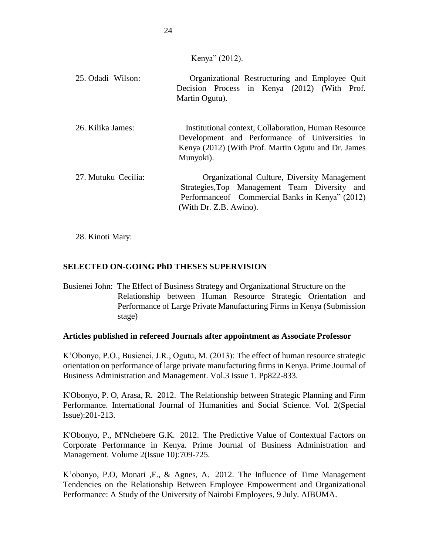Kenya" (2012).

| 25. Odadi Wilson:   | Organizational Restructuring and Employee Quit<br>Decision Process in Kenya (2012) (With Prof.<br>Martin Ogutu).                                                                   |
|---------------------|------------------------------------------------------------------------------------------------------------------------------------------------------------------------------------|
| 26. Kilika James:   | Institutional context, Collaboration, Human Resource<br>Development and Performance of Universities in<br>Kenya (2012) (With Prof. Martin Ogutu and Dr. James<br>Munyoki).         |
| 27. Mutuku Cecilia: | <b>Organizational Culture, Diversity Management</b><br>Strategies, Top Management Team Diversity and<br>Performance of Commercial Banks in Kenya" (2012)<br>(With Dr. Z.B. Awino). |

28. Kinoti Mary:

# **SELECTED ON-GOING PhD THESES SUPERVISION**

Busienei John: The Effect of Business Strategy and Organizational Structure on the Relationship between Human Resource Strategic Orientation and Performance of Large Private Manufacturing Firms in Kenya (Submission stage)

### **Articles published in refereed Journals after appointment as Associate Professor**

K'Obonyo, P.O., Busienei, J.R., Ogutu, M. (2013): The effect of human resource strategic orientation on performance of large private manufacturing firms in Kenya. Prime Journal of Business Administration and Management. Vol.3 Issue 1. Pp822-833.

K'Obonyo, P. O, Arasa, R. 2012. [The Relationship between Strategic Planning and Firm](http://profiles.uonbi.ac.ke/pkobonyo/publications/relationship-between-strategic-planning-and-firm-performance)  [Performance.](http://profiles.uonbi.ac.ke/pkobonyo/publications/relationship-between-strategic-planning-and-firm-performance) International Journal of Humanities and Social Science. Vol. 2(Special Issue):201-213.

K'Obonyo, P., M'Nchebere G.K. 2012. [The Predictive Value of Contextual Factors on](http://profiles.uonbi.ac.ke/pkobonyo/publications/predictive-value-contextual-factors-corporate-performance-kenya)  [Corporate Performance in Kenya.](http://profiles.uonbi.ac.ke/pkobonyo/publications/predictive-value-contextual-factors-corporate-performance-kenya) Prime Journal of Business Administration and Management. Volume 2(Issue 10):709-725.

K'obonyo, P.O, Monari ,F., & Agnes, A. 2012. [The Influence of Time Management](http://profiles.uonbi.ac.ke/pkobonyo/publications/influence-time-management-tendencies-relationship-between-employee-empowerment)  [Tendencies on the Relationship Between Employee Empowerment and Organizational](http://profiles.uonbi.ac.ke/pkobonyo/publications/influence-time-management-tendencies-relationship-between-employee-empowerment)  [Performance: A Study of the University of Nairobi Employees,](http://profiles.uonbi.ac.ke/pkobonyo/publications/influence-time-management-tendencies-relationship-between-employee-empowerment) 9 July. AIBUMA.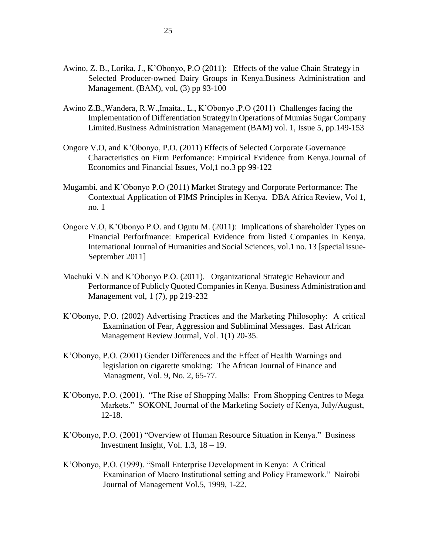- Awino, Z. B., Lorika, J., K'Obonyo, P.O (2011): Effects of the value Chain Strategy in Selected Producer-owned Dairy Groups in Kenya.Business Administration and Management. (BAM), vol, (3) pp 93-100
- Awino Z.B.,Wandera, R.W.,Imaita., L., K'Obonyo ,P.O (2011) Challenges facing the Implementation of Differentiation Strategy in Operations of Mumias Sugar Company Limited.Business Administration Management (BAM) vol. 1, Issue 5, pp.149-153
- Ongore V.O, and K'Obonyo, P.O. (2011) Effects of Selected Corporate Governance Characteristics on Firm Perfomance: Empirical Evidence from Kenya.Journal of Economics and Financial Issues, Vol,1 no.3 pp 99-122
- Mugambi, and K'Obonyo P.O (2011) Market Strategy and Corporate Performance: The Contextual Application of PIMS Principles in Kenya. DBA Africa Review, Vol 1, no. 1
- Ongore V.O, K'Obonyo P.O. and Ogutu M. (2011): Implications of shareholder Types on Financial Perforfmance: Emperical Evidence from listed Companies in Kenya. International Journal of Humanities and Social Sciences, vol.1 no. 13 [special issue-September 2011]
- Machuki V.N and K'Obonyo P.O. (2011). Organizational Strategic Behaviour and Performance of Publicly Quoted Companies in Kenya. Business Administration and Management vol, 1 (7), pp 219-232
- K'Obonyo, P.O. (2002) Advertising Practices and the Marketing Philosophy: A critical Examination of Fear, Aggression and Subliminal Messages. East African Management Review Journal, Vol. 1(1) 20-35.
- K'Obonyo, P.O. (2001) Gender Differences and the Effect of Health Warnings and legislation on cigarette smoking: The African Journal of Finance and Managment, Vol. 9, No. 2, 65-77.
- K'Obonyo, P.O. (2001). "The Rise of Shopping Malls: From Shopping Centres to Mega Markets." SOKONI, Journal of the Marketing Society of Kenya, July/August, 12-18.
- K'Obonyo, P.O. (2001) "Overview of Human Resource Situation in Kenya." Business Investment Insight, Vol.  $1.3$ ,  $18 - 19$ .
- K'Obonyo, P.O. (1999). "Small Enterprise Development in Kenya: A Critical Examination of Macro Institutional setting and Policy Framework." Nairobi Journal of Management Vol.5, 1999, 1-22.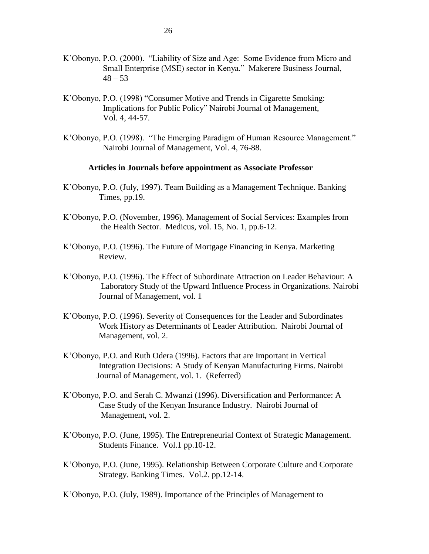- K'Obonyo, P.O. (2000). "Liability of Size and Age: Some Evidence from Micro and Small Enterprise (MSE) sector in Kenya." Makerere Business Journal,  $48 - 53$
- K'Obonyo, P.O. (1998) "Consumer Motive and Trends in Cigarette Smoking: Implications for Public Policy" Nairobi Journal of Management, Vol. 4, 44-57.
- K'Obonyo, P.O. (1998). "The Emerging Paradigm of Human Resource Management." Nairobi Journal of Management, Vol. 4, 76-88.

#### **Articles in Journals before appointment as Associate Professor**

- K'Obonyo, P.O. (July, 1997). Team Building as a Management Technique. Banking Times, pp.19.
- K'Obonyo, P.O. (November, 1996). Management of Social Services: Examples from the Health Sector. Medicus, vol. 15, No. 1, pp.6-12.
- K'Obonyo, P.O. (1996). The Future of Mortgage Financing in Kenya. Marketing Review.
- K'Obonyo, P.O. (1996). The Effect of Subordinate Attraction on Leader Behaviour: A Laboratory Study of the Upward Influence Process in Organizations. Nairobi Journal of Management, vol. 1
- K'Obonyo, P.O. (1996). Severity of Consequences for the Leader and Subordinates Work History as Determinants of Leader Attribution. Nairobi Journal of Management, vol. 2.
- K'Obonyo, P.O. and Ruth Odera (1996). Factors that are Important in Vertical Integration Decisions: A Study of Kenyan Manufacturing Firms. Nairobi Journal of Management, vol. 1. (Referred)
- K'Obonyo, P.O. and Serah C. Mwanzi (1996). Diversification and Performance: A Case Study of the Kenyan Insurance Industry. Nairobi Journal of Management, vol. 2.
- K'Obonyo, P.O. (June, 1995). The Entrepreneurial Context of Strategic Management. Students Finance. Vol.1 pp.10-12.
- K'Obonyo, P.O. (June, 1995). Relationship Between Corporate Culture and Corporate Strategy. Banking Times. Vol.2. pp.12-14.

K'Obonyo, P.O. (July, 1989). Importance of the Principles of Management to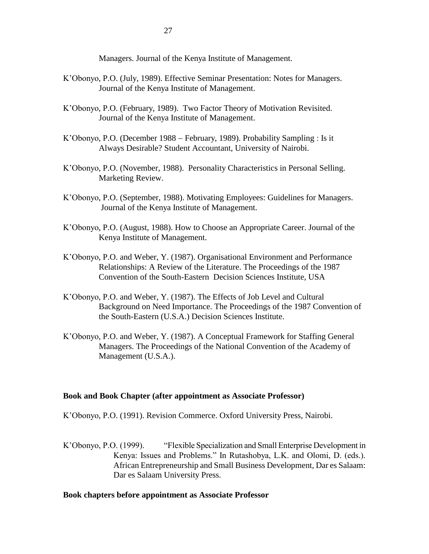Managers. Journal of the Kenya Institute of Management.

- K'Obonyo, P.O. (July, 1989). Effective Seminar Presentation: Notes for Managers. Journal of the Kenya Institute of Management.
- K'Obonyo, P.O. (February, 1989). Two Factor Theory of Motivation Revisited. Journal of the Kenya Institute of Management.
- K'Obonyo, P.O. (December 1988 February, 1989). Probability Sampling : Is it Always Desirable? Student Accountant, University of Nairobi.
- K'Obonyo, P.O. (November, 1988). Personality Characteristics in Personal Selling. Marketing Review.
- K'Obonyo, P.O. (September, 1988). Motivating Employees: Guidelines for Managers. Journal of the Kenya Institute of Management.
- K'Obonyo, P.O. (August, 1988). How to Choose an Appropriate Career. Journal of the Kenya Institute of Management.
- K'Obonyo, P.O. and Weber, Y. (1987). Organisational Environment and Performance Relationships: A Review of the Literature. The Proceedings of the 1987 Convention of the South-Eastern Decision Sciences Institute, USA
- K'Obonyo, P.O. and Weber, Y. (1987). The Effects of Job Level and Cultural Background on Need Importance. The Proceedings of the 1987 Convention of the South-Eastern (U.S.A.) Decision Sciences Institute.
- K'Obonyo, P.O. and Weber, Y. (1987). A Conceptual Framework for Staffing General Managers. The Proceedings of the National Convention of the Academy of Management (U.S.A.).

#### **Book and Book Chapter (after appointment as Associate Professor)**

K'Obonyo, P.O. (1991). Revision Commerce. Oxford University Press, Nairobi.

K'Obonyo, P.O. (1999). "Flexible Specialization and Small Enterprise Development in Kenya: Issues and Problems." In Rutashobya, L.K. and Olomi, D. (eds.). African Entrepreneurship and Small Business Development, Dar es Salaam: Dar es Salaam University Press.

#### **Book chapters before appointment as Associate Professor**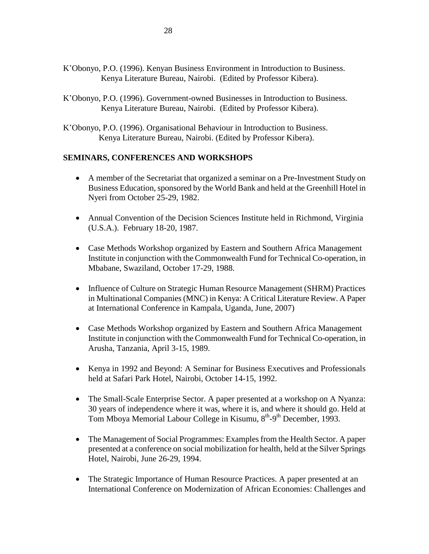- K'Obonyo, P.O. (1996). Kenyan Business Environment in Introduction to Business. Kenya Literature Bureau, Nairobi. (Edited by Professor Kibera).
- K'Obonyo, P.O. (1996). Government-owned Businesses in Introduction to Business. Kenya Literature Bureau, Nairobi. (Edited by Professor Kibera).
- K'Obonyo, P.O. (1996). Organisational Behaviour in Introduction to Business. Kenya Literature Bureau, Nairobi. (Edited by Professor Kibera).

## **SEMINARS, CONFERENCES AND WORKSHOPS**

- A member of the Secretariat that organized a seminar on a Pre-Investment Study on Business Education, sponsored by the World Bank and held at the Greenhill Hotel in Nyeri from October 25-29, 1982.
- Annual Convention of the Decision Sciences Institute held in Richmond, Virginia (U.S.A.). February 18-20, 1987.
- Case Methods Workshop organized by Eastern and Southern Africa Management Institute in conjunction with the Commonwealth Fund for Technical Co-operation, in Mbabane, Swaziland, October 17-29, 1988.
- Influence of Culture on Strategic Human Resource Management (SHRM) Practices in Multinational Companies (MNC) in Kenya: A Critical Literature Review. A Paper at International Conference in Kampala, Uganda, June, 2007)
- Case Methods Workshop organized by Eastern and Southern Africa Management Institute in conjunction with the Commonwealth Fund for Technical Co-operation, in Arusha, Tanzania, April 3-15, 1989.
- Kenya in 1992 and Beyond: A Seminar for Business Executives and Professionals held at Safari Park Hotel, Nairobi, October 14-15, 1992.
- The Small-Scale Enterprise Sector. A paper presented at a workshop on A Nyanza: 30 years of independence where it was, where it is, and where it should go. Held at Tom Mboya Memorial Labour College in Kisumu, 8<sup>th</sup>-9<sup>th</sup> December, 1993.
- The Management of Social Programmes: Examples from the Health Sector. A paper presented at a conference on social mobilization for health, held at the Silver Springs Hotel, Nairobi, June 26-29, 1994.
- The Strategic Importance of Human Resource Practices. A paper presented at an International Conference on Modernization of African Economies: Challenges and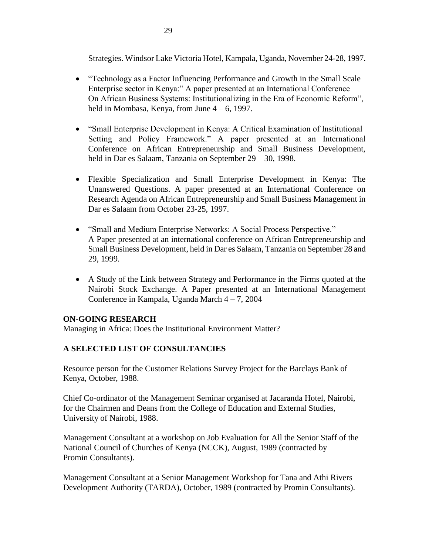Strategies. Windsor Lake Victoria Hotel, Kampala, Uganda, November 24-28, 1997.

- "Technology as a Factor Influencing Performance and Growth in the Small Scale Enterprise sector in Kenya:" A paper presented at an International Conference On African Business Systems: Institutionalizing in the Era of Economic Reform", held in Mombasa, Kenya, from June  $4 - 6$ , 1997.
- "Small Enterprise Development in Kenya: A Critical Examination of Institutional Setting and Policy Framework." A paper presented at an International Conference on African Entrepreneurship and Small Business Development, held in Dar es Salaam, Tanzania on September 29 – 30, 1998.
- Flexible Specialization and Small Enterprise Development in Kenya: The Unanswered Questions. A paper presented at an International Conference on Research Agenda on African Entrepreneurship and Small Business Management in Dar es Salaam from October 23-25, 1997.
- "Small and Medium Enterprise Networks: A Social Process Perspective." A Paper presented at an international conference on African Entrepreneurship and Small Business Development, held in Dar es Salaam, Tanzania on September 28 and 29, 1999.
- A Study of the Link between Strategy and Performance in the Firms quoted at the Nairobi Stock Exchange. A Paper presented at an International Management Conference in Kampala, Uganda March 4 – 7, 2004

### **ON-GOING RESEARCH**

Managing in Africa: Does the Institutional Environment Matter?

### **A SELECTED LIST OF CONSULTANCIES**

Resource person for the Customer Relations Survey Project for the Barclays Bank of Kenya, October, 1988.

Chief Co-ordinator of the Management Seminar organised at Jacaranda Hotel, Nairobi, for the Chairmen and Deans from the College of Education and External Studies, University of Nairobi, 1988.

Management Consultant at a workshop on Job Evaluation for All the Senior Staff of the National Council of Churches of Kenya (NCCK), August, 1989 (contracted by Promin Consultants).

Management Consultant at a Senior Management Workshop for Tana and Athi Rivers Development Authority (TARDA), October, 1989 (contracted by Promin Consultants).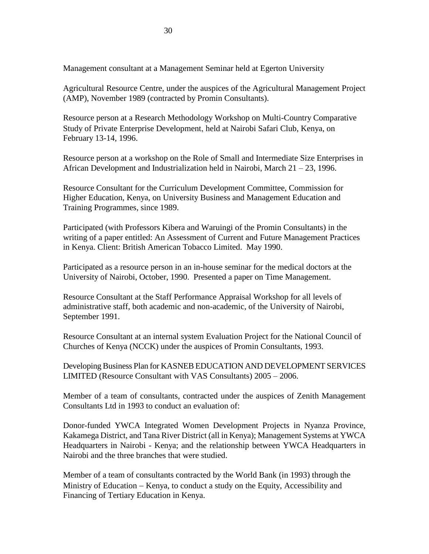Management consultant at a Management Seminar held at Egerton University

Agricultural Resource Centre, under the auspices of the Agricultural Management Project (AMP), November 1989 (contracted by Promin Consultants).

Resource person at a Research Methodology Workshop on Multi-Country Comparative Study of Private Enterprise Development, held at Nairobi Safari Club, Kenya, on February 13-14, 1996.

Resource person at a workshop on the Role of Small and Intermediate Size Enterprises in African Development and Industrialization held in Nairobi, March 21 – 23, 1996.

Resource Consultant for the Curriculum Development Committee, Commission for Higher Education, Kenya, on University Business and Management Education and Training Programmes, since 1989.

Participated (with Professors Kibera and Waruingi of the Promin Consultants) in the writing of a paper entitled: An Assessment of Current and Future Management Practices in Kenya. Client: British American Tobacco Limited. May 1990.

Participated as a resource person in an in-house seminar for the medical doctors at the University of Nairobi, October, 1990. Presented a paper on Time Management.

Resource Consultant at the Staff Performance Appraisal Workshop for all levels of administrative staff, both academic and non-academic, of the University of Nairobi, September 1991.

Resource Consultant at an internal system Evaluation Project for the National Council of Churches of Kenya (NCCK) under the auspices of Promin Consultants, 1993.

Developing Business Plan for KASNEB EDUCATION AND DEVELOPMENT SERVICES LIMITED (Resource Consultant with VAS Consultants) 2005 – 2006.

Member of a team of consultants, contracted under the auspices of Zenith Management Consultants Ltd in 1993 to conduct an evaluation of:

Donor-funded YWCA Integrated Women Development Projects in Nyanza Province, Kakamega District, and Tana River District (all in Kenya); Management Systems at YWCA Headquarters in Nairobi - Kenya; and the relationship between YWCA Headquarters in Nairobi and the three branches that were studied.

Member of a team of consultants contracted by the World Bank (in 1993) through the Ministry of Education  $-$  Kenya, to conduct a study on the Equity, Accessibility and Financing of Tertiary Education in Kenya.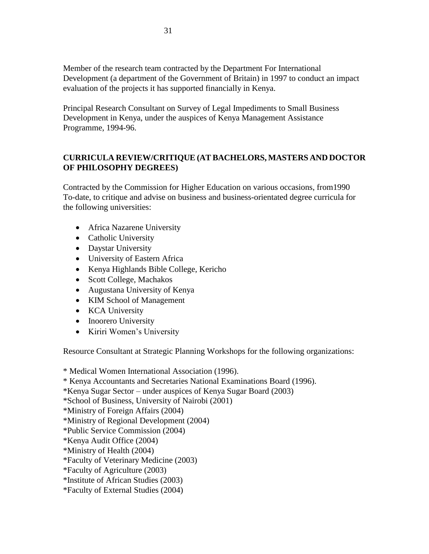Member of the research team contracted by the Department For International Development (a department of the Government of Britain) in 1997 to conduct an impact evaluation of the projects it has supported financially in Kenya.

Principal Research Consultant on Survey of Legal Impediments to Small Business Development in Kenya, under the auspices of Kenya Management Assistance Programme, 1994-96.

# **CURRICULA REVIEW/CRITIQUE (AT BACHELORS, MASTERS AND DOCTOR OF PHILOSOPHY DEGREES)**

Contracted by the Commission for Higher Education on various occasions, from1990 To-date, to critique and advise on business and business-orientated degree curricula for the following universities:

- Africa Nazarene University
- Catholic University
- Daystar University
- University of Eastern Africa
- Kenya Highlands Bible College, Kericho
- Scott College, Machakos
- Augustana University of Kenya
- KIM School of Management
- KCA University
- Inoorero University
- Kiriri Women's University

Resource Consultant at Strategic Planning Workshops for the following organizations:

\* Medical Women International Association (1996).

- \* Kenya Accountants and Secretaries National Examinations Board (1996).
- \*Kenya Sugar Sector under auspices of Kenya Sugar Board (2003)

\*School of Business, University of Nairobi (2001)

\*Ministry of Foreign Affairs (2004)

\*Ministry of Regional Development (2004)

\*Public Service Commission (2004)

\*Kenya Audit Office (2004)

\*Ministry of Health (2004)

\*Faculty of Veterinary Medicine (2003)

\*Faculty of Agriculture (2003)

\*Institute of African Studies (2003)

\*Faculty of External Studies (2004)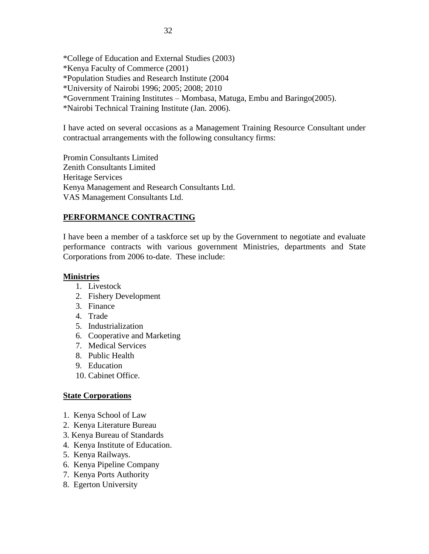\*College of Education and External Studies (2003) \*Kenya Faculty of Commerce (2001) \*Population Studies and Research Institute (2004 \*University of Nairobi 1996; 2005; 2008; 2010 \*Government Training Institutes – Mombasa, Matuga, Embu and Baringo(2005). \*Nairobi Technical Training Institute (Jan. 2006).

I have acted on several occasions as a Management Training Resource Consultant under contractual arrangements with the following consultancy firms:

Promin Consultants Limited Zenith Consultants Limited Heritage Services Kenya Management and Research Consultants Ltd. VAS Management Consultants Ltd.

## **PERFORMANCE CONTRACTING**

I have been a member of a taskforce set up by the Government to negotiate and evaluate performance contracts with various government Ministries, departments and State Corporations from 2006 to-date. These include:

### **Ministries**

- 1. Livestock
- 2. Fishery Development
- 3. Finance
- 4. Trade
- 5. Industrialization
- 6. Cooperative and Marketing
- 7. Medical Services
- 8. Public Health
- 9. Education
- 10. Cabinet Office.

### **State Corporations**

- 1. Kenya School of Law
- 2. Kenya Literature Bureau
- 3. Kenya Bureau of Standards
- 4. Kenya Institute of Education.
- 5. Kenya Railways.
- 6. Kenya Pipeline Company
- 7. Kenya Ports Authority
- 8. Egerton University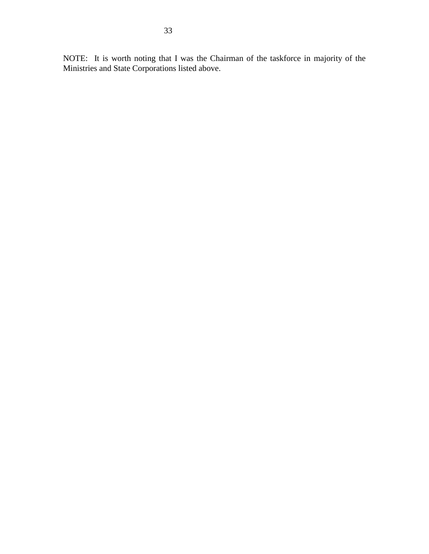NOTE: It is worth noting that I was the Chairman of the taskforce in majority of the Ministries and State Corporations listed above.